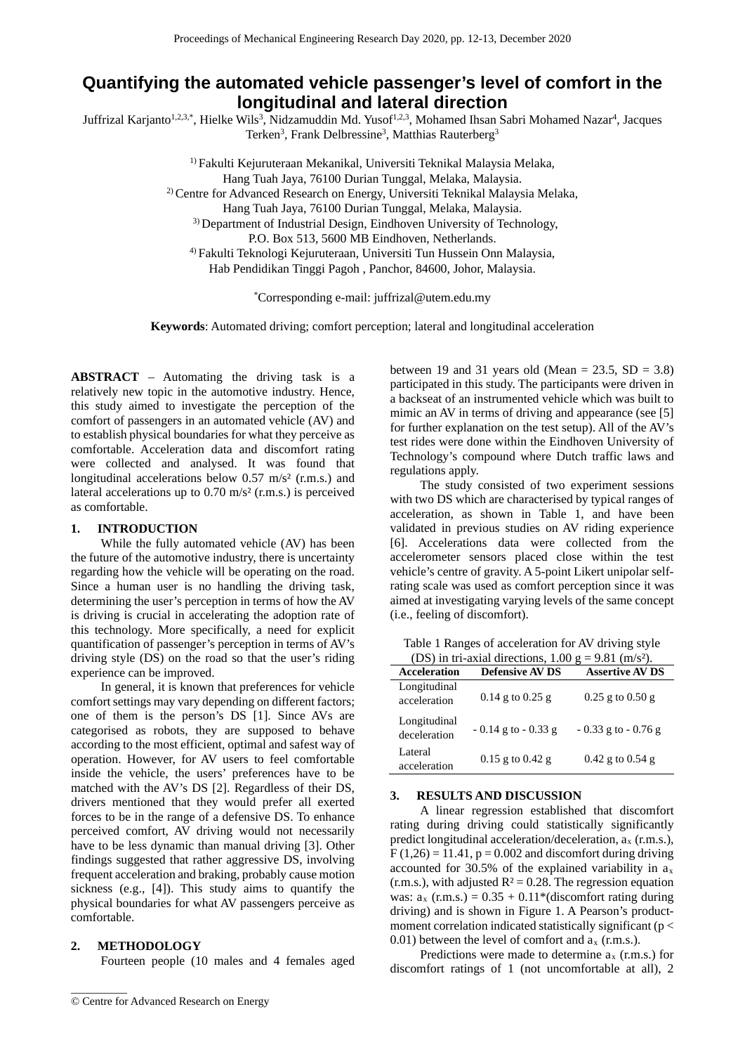## **Quantifying the automated vehicle passenger's level of comfort in the longitudinal and lateral direction**

Juffrizal Karjanto<sup>1,2,3,\*</sup>, Hielke Wils<sup>3</sup>, Nidzamuddin Md. Yusof<sup>1,2,3</sup>, Mohamed Ihsan Sabri Mohamed Nazar<sup>4</sup>, Jacques Terken<sup>3</sup>, Frank Delbressine<sup>3</sup>, Matthias Rauterberg<sup>3</sup>

> 1) Fakulti Kejuruteraan Mekanikal, Universiti Teknikal Malaysia Melaka, Hang Tuah Jaya, 76100 Durian Tunggal, Melaka, Malaysia. <sup>2)</sup> Centre for Advanced Research on Energy, Universiti Teknikal Malaysia Melaka, Hang Tuah Jaya, 76100 Durian Tunggal, Melaka, Malaysia. <sup>3)</sup> Department of Industrial Design, Eindhoven University of Technology, P.O. Box 513, 5600 MB Eindhoven, Netherlands. 4) Fakulti Teknologi Kejuruteraan, Universiti Tun Hussein Onn Malaysia, Hab Pendidikan Tinggi Pagoh , Panchor, 84600, Johor, Malaysia.

> > \* Corresponding e-mail: juffrizal@utem.edu.my

**Keywords**: Automated driving; comfort perception; lateral and longitudinal acceleration

**ABSTRACT** – Automating the driving task is a relatively new topic in the automotive industry. Hence, this study aimed to investigate the perception of the comfort of passengers in an automated vehicle (AV) and to establish physical boundaries for what they perceive as comfortable. Acceleration data and discomfort rating were collected and analysed. It was found that longitudinal accelerations below  $0.57 \text{ m/s}^2$  (r.m.s.) and lateral accelerations up to  $0.70$  m/s<sup>2</sup> (r.m.s.) is perceived as comfortable.

## **1. INTRODUCTION**

While the fully automated vehicle (AV) has been the future of the automotive industry, there is uncertainty regarding how the vehicle will be operating on the road. Since a human user is no handling the driving task, determining the user's perception in terms of how the AV is driving is crucial in accelerating the adoption rate of this technology. More specifically, a need for explicit quantification of passenger's perception in terms of AV's driving style (DS) on the road so that the user's riding experience can be improved.

In general, it is known that preferences for vehicle comfort settings may vary depending on different factors; one of them is the person's DS [1]. Since AVs are categorised as robots, they are supposed to behave according to the most efficient, optimal and safest way of operation. However, for AV users to feel comfortable inside the vehicle, the users' preferences have to be matched with the AV's DS [2]. Regardless of their DS, drivers mentioned that they would prefer all exerted forces to be in the range of a defensive DS. To enhance perceived comfort, AV driving would not necessarily have to be less dynamic than manual driving [3]. Other findings suggested that rather aggressive DS, involving frequent acceleration and braking, probably cause motion sickness (e.g., [4]). This study aims to quantify the physical boundaries for what AV passengers perceive as comfortable.

#### **2. METHODOLOGY**

 $\overline{\phantom{a}}$ 

Fourteen people (10 males and 4 females aged

between 19 and 31 years old (Mean =  $23.5$ , SD =  $3.8$ ) participated in this study. The participants were driven in a backseat of an instrumented vehicle which was built to mimic an AV in terms of driving and appearance (see [5] for further explanation on the test setup). All of the AV's test rides were done within the Eindhoven University of Technology's compound where Dutch traffic laws and regulations apply.

The study consisted of two experiment sessions with two DS which are characterised by typical ranges of acceleration, as shown in Table 1, and have been validated in previous studies on AV riding experience [6]. Accelerations data were collected from the accelerometer sensors placed close within the test vehicle's centre of gravity. A 5-point Likert unipolar selfrating scale was used as comfort perception since it was aimed at investigating varying levels of the same concept (i.e., feeling of discomfort).

Table 1 Ranges of acceleration for AV driving style (DS) in tri-axial directions,  $1.00 \sigma = 9.81 \ (m/s^2)$ .

| $1.00 \leq P$ . The data directions, $1.00 \leq P$ . $0.01$ (He $\sigma$ ). |                        |                        |  |  |
|-----------------------------------------------------------------------------|------------------------|------------------------|--|--|
| <b>Acceleration</b>                                                         | <b>Defensive AV DS</b> | <b>Assertive AV DS</b> |  |  |
| Longitudinal<br>acceleration                                                | $0.14$ g to $0.25$ g   | $0.25$ g to $0.50$ g   |  |  |
| Longitudinal<br>deceleration                                                | $-0.14$ g to $-0.33$ g | $-0.33$ g to $-0.76$ g |  |  |
| Lateral<br>acceleration                                                     | $0.15$ g to $0.42$ g   | $0.42$ g to $0.54$ g   |  |  |

#### **3. RESULTS AND DISCUSSION**

A linear regression established that discomfort rating during driving could statistically significantly predict longitudinal acceleration/deceleration,  $a_x$  (r.m.s.),  $F(1,26) = 11.41$ ,  $p = 0.002$  and discomfort during driving accounted for  $30.5\%$  of the explained variability in  $a_x$ (r.m.s.), with adjusted  $R^2 = 0.28$ . The regression equation was:  $a_x$  (r.m.s.) = 0.35 + 0.11\*(discomfort rating during driving) and is shown in Figure 1. A Pearson's productmoment correlation indicated statistically significant ( $p <$ 0.01) between the level of comfort and  $a_x$  (r.m.s.).

Predictions were made to determine  $a_x$  (r.m.s.) for discomfort ratings of 1 (not uncomfortable at all), 2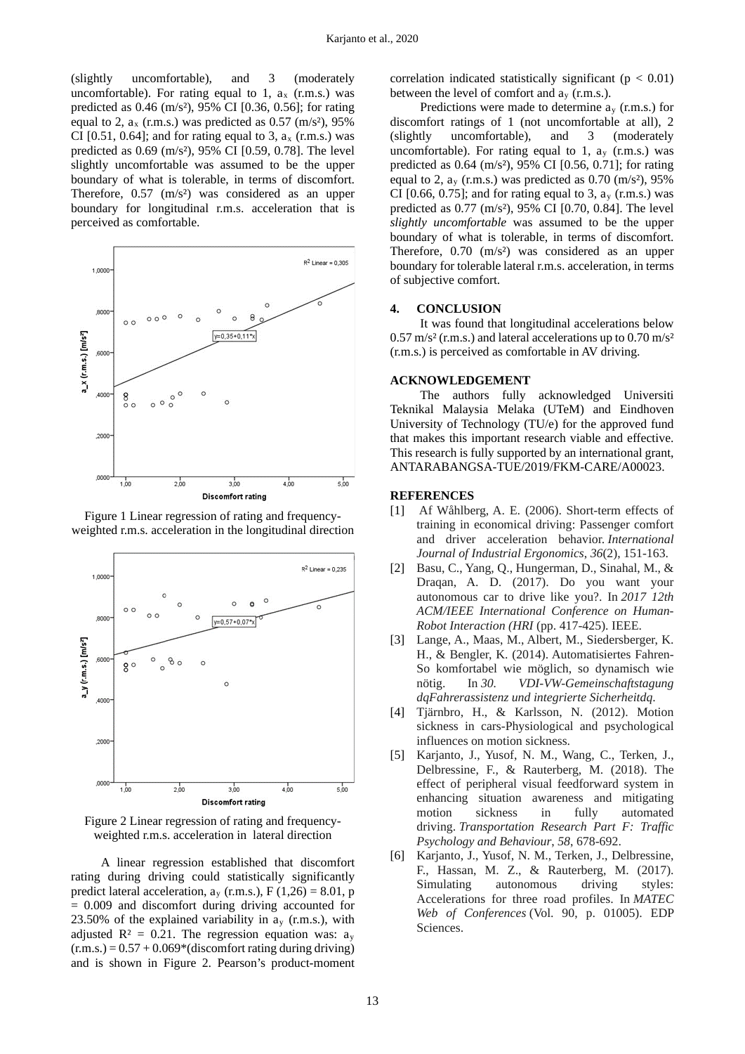(slightly uncomfortable), and 3 (moderately uncomfortable). For rating equal to 1,  $a_x$  (r.m.s.) was predicted as 0.46 (m/s²), 95% CI [0.36, 0.56]; for rating equal to 2,  $a_x$  (r.m.s.) was predicted as 0.57 (m/s<sup>2</sup>), 95% CI [0.51, 0.64]; and for rating equal to 3,  $a_x$  (r.m.s.) was predicted as 0.69 (m/s²), 95% CI [0.59, 0.78]. The level slightly uncomfortable was assumed to be the upper boundary of what is tolerable, in terms of discomfort. Therefore,  $0.57 \,$  (m/s<sup>2</sup>) was considered as an upper boundary for longitudinal r.m.s. acceleration that is perceived as comfortable.



Figure 1 Linear regression of rating and frequencyweighted r.m.s. acceleration in the longitudinal direction



Figure 2 Linear regression of rating and frequencyweighted r.m.s. acceleration in lateral direction

A linear regression established that discomfort rating during driving could statistically significantly predict lateral acceleration,  $a_y$  (r.m.s.), F (1,26) = 8.01, p = 0.009 and discomfort during driving accounted for 23.50% of the explained variability in  $a_v$  (r.m.s.), with adjusted  $R^2 = 0.21$ . The regression equation was:  $a_v$  $(r.m.s.) = 0.57 + 0.069*(disconfort rating during driving)$ and is shown in Figure 2. Pearson's product-moment correlation indicated statistically significant ( $p < 0.01$ ) between the level of comfort and  $a_v$  (r.m.s.).

Predictions were made to determine  $a<sub>v</sub>$  (r.m.s.) for discomfort ratings of 1 (not uncomfortable at all), 2 (slightly uncomfortable), and 3 (moderately uncomfortable). For rating equal to 1,  $a_v$  (r.m.s.) was predicted as 0.64 (m/s²), 95% CI [0.56, 0.71]; for rating equal to 2,  $a_v$  (r.m.s.) was predicted as 0.70 (m/s<sup>2</sup>), 95% CI [0.66, 0.75]; and for rating equal to 3,  $a_v$  (r.m.s.) was predicted as 0.77 (m/s²), 95% CI [0.70, 0.84]. The level *slightly uncomfortable* was assumed to be the upper boundary of what is tolerable, in terms of discomfort. Therefore, 0.70 (m/s<sup>2</sup>) was considered as an upper boundary for tolerable lateral r.m.s. acceleration, in terms of subjective comfort.

#### **4. CONCLUSION**

It was found that longitudinal accelerations below  $0.57 \text{ m/s}^2$  (r.m.s.) and lateral accelerations up to  $0.70 \text{ m/s}^2$ (r.m.s.) is perceived as comfortable in AV driving.

### **ACKNOWLEDGEMENT**

The authors fully acknowledged Universiti Teknikal Malaysia Melaka (UTeM) and Eindhoven University of Technology (TU/e) for the approved fund that makes this important research viable and effective. This research is fully supported by an international grant, ANTARABANGSA-TUE/2019/FKM-CARE/A00023.

#### **REFERENCES**

- [1] Af Wåhlberg, A. E. (2006). Short-term effects of training in economical driving: Passenger comfort and driver acceleration behavior. *International Journal of Industrial Ergonomics*, *36*(2), 151-163.
- [2] Basu, C., Yang, Q., Hungerman, D., Sinahal, M., & Draqan, A. D. (2017). Do you want your autonomous car to drive like you?. In *2017 12th ACM/IEEE International Conference on Human-Robot Interaction (HRI* (pp. 417-425). IEEE.
- [3] Lange, A., Maas, M., Albert, M., Siedersberger, K. H., & Bengler, K. (2014). Automatisiertes Fahren-So komfortabel wie möglich, so dynamisch wie nötig. In *30. VDI-VW-Gemeinschaftstagung dqFahrerassistenz und integrierte Sicherheitdq*.
- [4] Tjärnbro, H., & Karlsson, N. (2012). Motion sickness in cars-Physiological and psychological influences on motion sickness.
- [5] Karjanto, J., Yusof, N. M., Wang, C., Terken, J., Delbressine, F., & Rauterberg, M. (2018). The effect of peripheral visual feedforward system in enhancing situation awareness and mitigating motion sickness in fully automated driving. *Transportation Research Part F: Traffic Psychology and Behaviour*, *58*, 678-692.
- [6] Karjanto, J., Yusof, N. M., Terken, J., Delbressine, F., Hassan, M. Z., & Rauterberg, M. (2017). Simulating autonomous driving styles: Accelerations for three road profiles. In *MATEC Web of Conferences* (Vol. 90, p. 01005). EDP Sciences.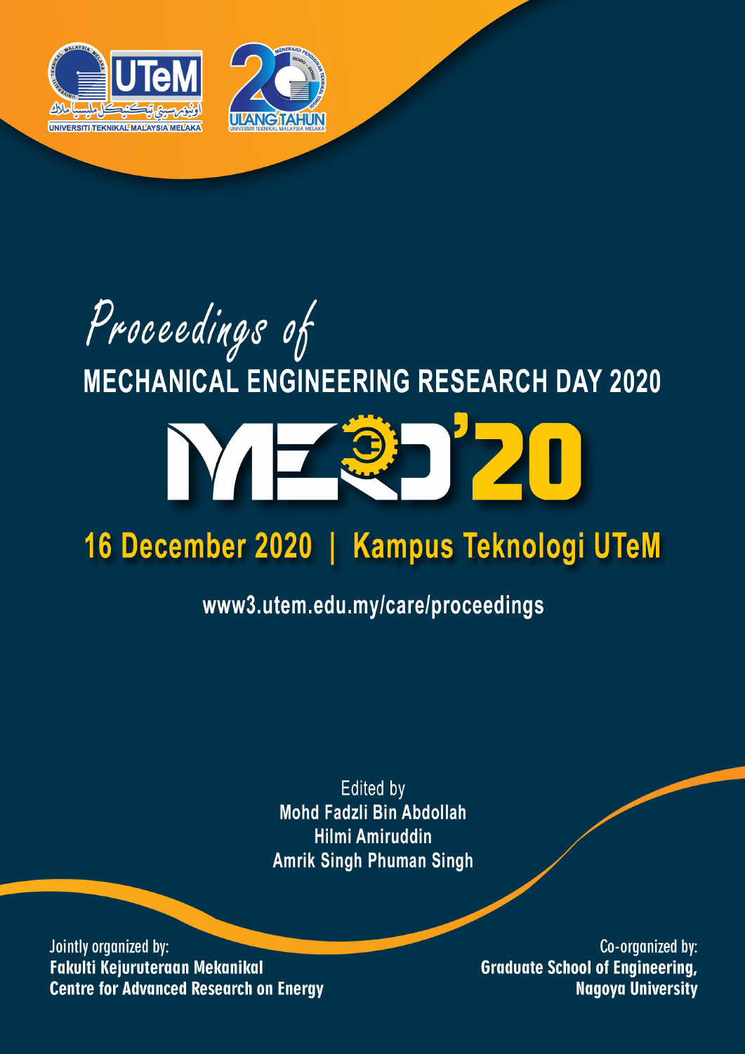

# Proceedings of **MECHANICAL ENGINEERING RESEARCH DAY 2020**

# C

## 16 December 2020 | Kampus Teknologi UTeM

## www3.utem.edu.my/care/proceedings

**Edited by** Mohd Fadzli Bin Abdollah **Hilmi Amiruddin Amrik Singh Phuman Singh** 

Jointly organized by: Fakulti Kejuruteraan Mekanikal **Centre for Advanced Research on Energy** 

Co-organized by: **Graduate School of Engineering, Nagoya University**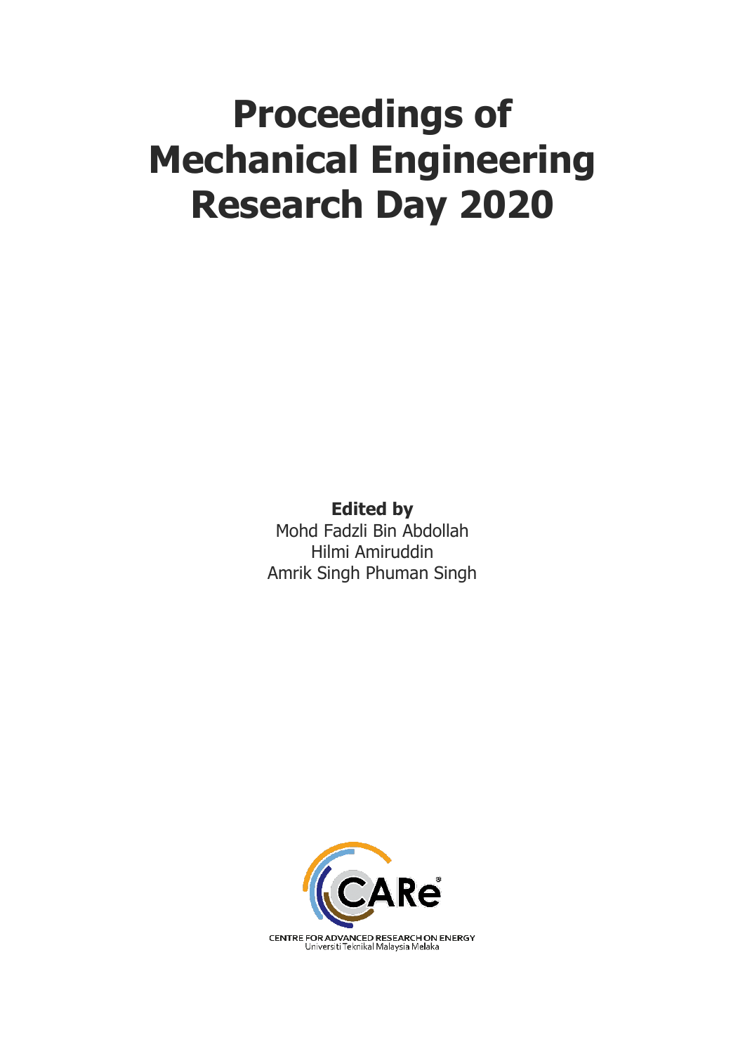# **Proceedings of Mechanical Engineering Research Day 2020**

**Edited by** Mohd Fadzli Bin Abdollah Hilmi Amiruddin Amrik Singh Phuman Singh

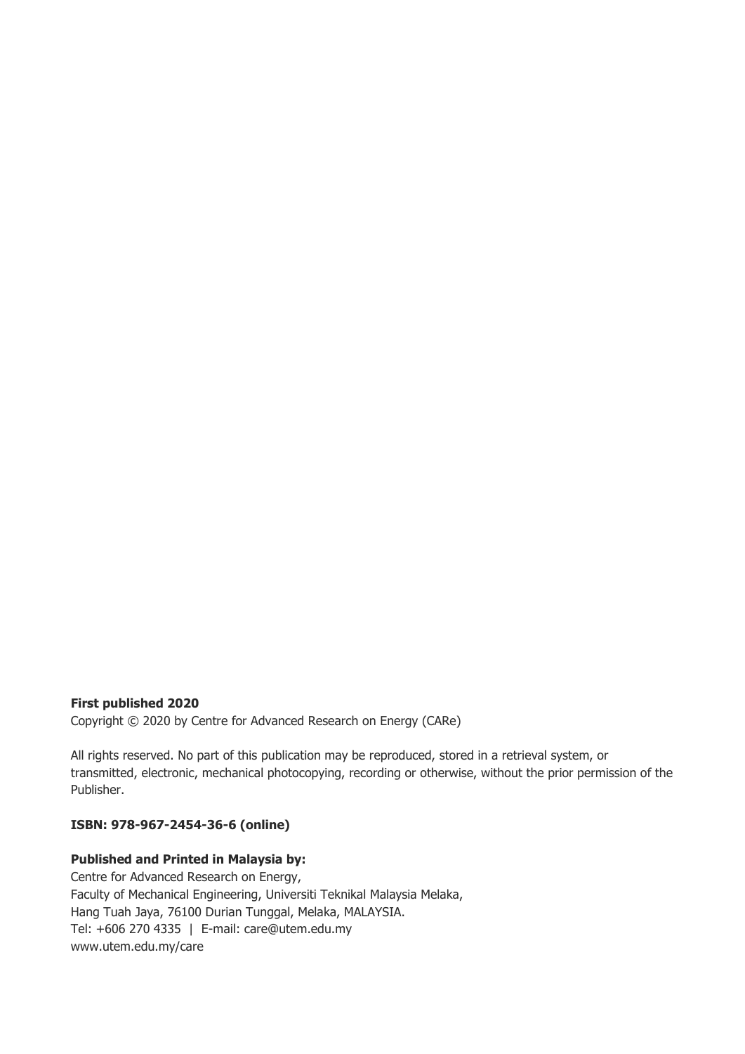## **First published 2020**

Copyright © 2020 by Centre for Advanced Research on Energy (CARe)

All rights reserved. No part of this publication may be reproduced, stored in a retrieval system, or transmitted, electronic, mechanical photocopying, recording or otherwise, without the prior permission of the Publisher.

## **ISBN: 978-967-2454-36-6 (online)**

## **Published and Printed in Malaysia by:**

Centre for Advanced Research on Energy, Faculty of Mechanical Engineering, Universiti Teknikal Malaysia Melaka, Hang Tuah Jaya, 76100 Durian Tunggal, Melaka, MALAYSIA. Tel: +606 270 4335 | E-mail: care@utem.edu.my www.utem.edu.my/care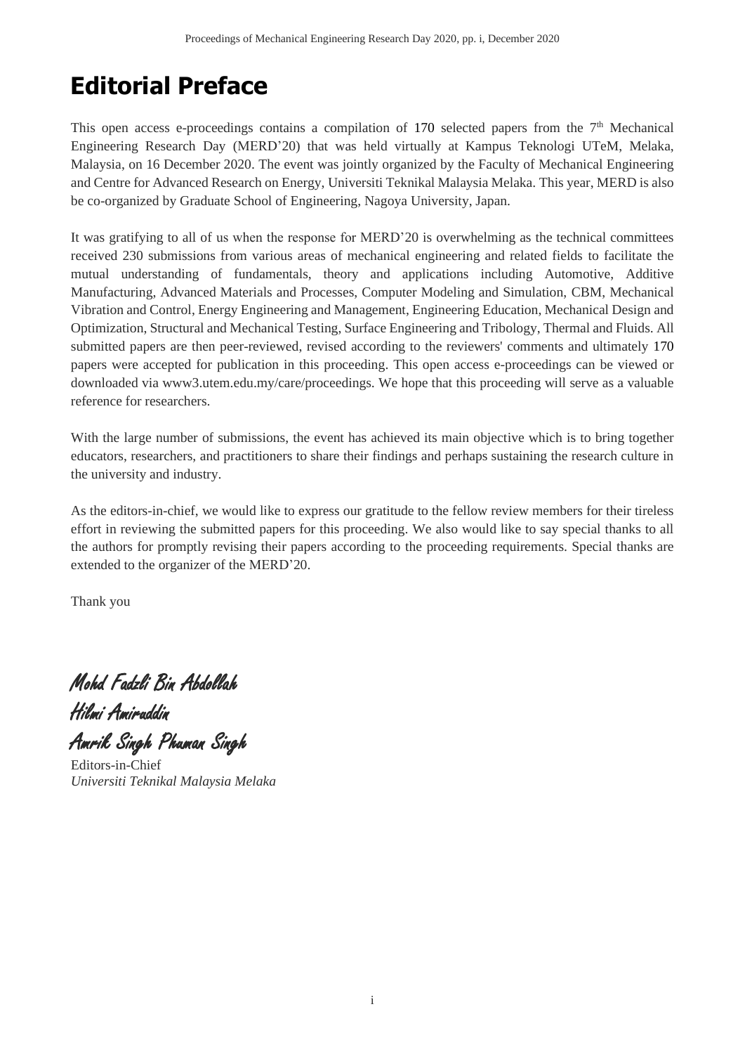## **Editorial Preface**

This open access e-proceedings contains a compilation of 170 selected papers from the  $7<sup>th</sup>$  Mechanical Engineering Research Day (MERD'20) that was held virtually at Kampus Teknologi UTeM, Melaka, Malaysia, on 16 December 2020. The event was jointly organized by the Faculty of Mechanical Engineering and Centre for Advanced Research on Energy, Universiti Teknikal Malaysia Melaka. This year, MERD is also be co-organized by Graduate School of Engineering, Nagoya University, Japan.

It was gratifying to all of us when the response for MERD'20 is overwhelming as the technical committees received 230 submissions from various areas of mechanical engineering and related fields to facilitate the mutual understanding of fundamentals, theory and applications including Automotive, Additive Manufacturing, Advanced Materials and Processes, Computer Modeling and Simulation, CBM, Mechanical Vibration and Control, Energy Engineering and Management, Engineering Education, Mechanical Design and Optimization, Structural and Mechanical Testing, Surface Engineering and Tribology, Thermal and Fluids. All submitted papers are then peer-reviewed, revised according to the reviewers' comments and ultimately 170 papers were accepted for publication in this proceeding. This open access e-proceedings can be viewed or downloaded via www3.utem.edu.my/care/proceedings. We hope that this proceeding will serve as a valuable reference for researchers.

With the large number of submissions, the event has achieved its main objective which is to bring together educators, researchers, and practitioners to share their findings and perhaps sustaining the research culture in the university and industry.

As the editors-in-chief, we would like to express our gratitude to the fellow review members for their tireless effort in reviewing the submitted papers for this proceeding. We also would like to say special thanks to all the authors for promptly revising their papers according to the proceeding requirements. Special thanks are extended to the organizer of the MERD'20.

Thank you

Mohd Fadzli Bin Abdollah Hilmi Amiruddin

Amrik Singh Phuman Singh

Editors-in-Chief *Universiti Teknikal Malaysia Melaka*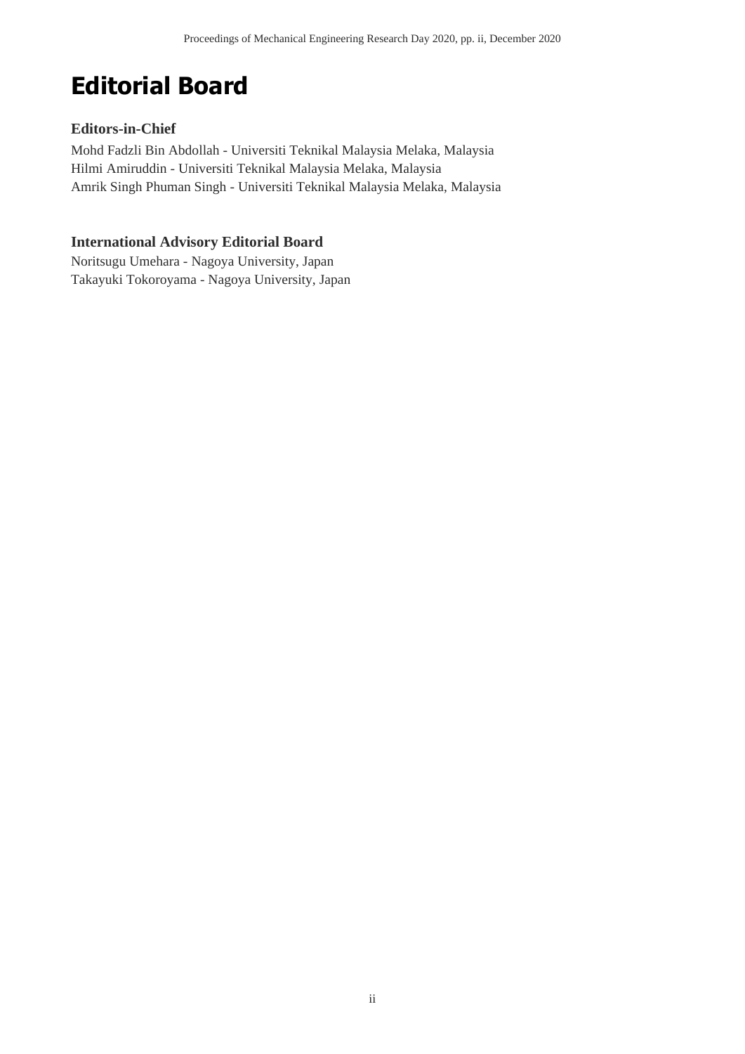## **Editorial Board**

## **Editors-in-Chief**

Mohd Fadzli Bin Abdollah - Universiti Teknikal Malaysia Melaka, Malaysia Hilmi Amiruddin - Universiti Teknikal Malaysia Melaka, Malaysia Amrik Singh Phuman Singh - Universiti Teknikal Malaysia Melaka, Malaysia

## **International Advisory Editorial Board**

Noritsugu Umehara - Nagoya University, Japan Takayuki Tokoroyama - Nagoya University, Japan